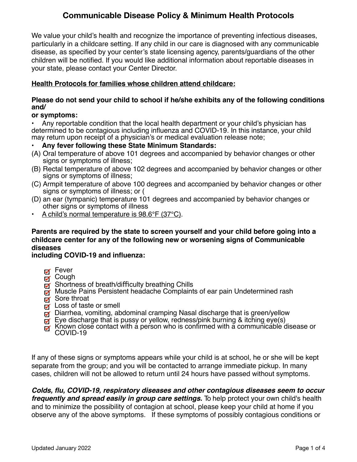We value your child's health and recognize the importance of preventing infectious diseases, particularly in a childcare setting. If any child in our care is diagnosed with any communicable disease, as specified by your center's state licensing agency, parents/guardians of the other children will be notified. If you would like additional information about reportable diseases in your state, please contact your Center Director.

### **Health Protocols for families whose children attend childcare:**

### **Please do not send your child to school if he/she exhibits any of the following conditions and/**

#### **or symptoms:**

• Any reportable condition that the local health department or your child's physician has determined to be contagious including influenza and COVID-19. In this instance, your child may return upon receipt of a physician's or medical evaluation release note;

### • **Any fever following these State Minimum Standards:**

- (A) Oral temperature of above 101 degrees and accompanied by behavior changes or other signs or symptoms of illness;
- (B) Rectal temperature of above 102 degrees and accompanied by behavior changes or other signs or symptoms of illness;
- (C) Armpit temperature of above 100 degrees and accompanied by behavior changes or other signs or symptoms of illness; or (
- (D) an ear (tympanic) temperature 101 degrees and accompanied by behavior changes or other signs or symptoms of illness
- A child's normal temperature is 98.6°F (37°C).

## **Parents are required by the state to screen yourself and your child before going into a childcare center for any of the following new or worsening signs of Communicable diseases**

### **including COVID-19 and influenza:**

- Fever
- Cough
- $\bar{g}$  Shortness of breath/difficulty breathing Chills
- Muscle Pains Persistent headache Complaints of ear pain Undetermined rash
- Sore throat
- $\bar{a}$  Loss of taste or smell
- □ Diarrhea, vomiting, abdominal cramping Nasal discharge that is green/yellow<br>□ Eye discharge that is pussy or yellow, redness/pink burning & itching eye(s)
- 
- $\overline{p}$  Known close contact with a person who is confirmed with a communicable disease or COVID-19

If any of these signs or symptoms appears while your child is at school, he or she will be kept separate from the group; and you will be contacted to arrange immediate pickup. In many cases, children will not be allowed to return until 24 hours have passed without symptoms.

*Colds, flu, COVID-19, respiratory diseases and other contagious diseases seem to occur frequently and spread easily in group care settings.* To help protect your own child's health and to minimize the possibility of contagion at school, please keep your child at home if you observe any of the above symptoms. If these symptoms of possibly contagious conditions or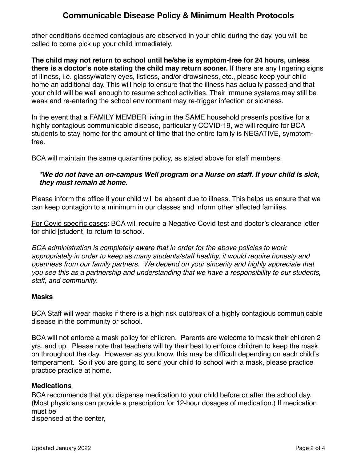other conditions deemed contagious are observed in your child during the day, you will be called to come pick up your child immediately.

**The child may not return to school until he/she is symptom-free for 24 hours, unless there is a doctor's note stating the child may return sooner.** If there are any lingering signs of illness, i.e. glassy/watery eyes, listless, and/or drowsiness, etc., please keep your child home an additional day. This will help to ensure that the illness has actually passed and that your child will be well enough to resume school activities. Their immune systems may still be weak and re-entering the school environment may re-trigger infection or sickness.

In the event that a FAMILY MEMBER living in the SAME household presents positive for a highly contagious communicable disease, particularly COVID-19, we will require for BCA students to stay home for the amount of time that the entire family is NEGATIVE, symptomfree.

BCA will maintain the same quarantine policy, as stated above for staff members.

## *\*We do not have an on-campus Well program or a Nurse on staff. If your child is sick, they must remain at home.*

Please inform the office if your child will be absent due to illness. This helps us ensure that we can keep contagion to a minimum in our classes and inform other affected families.

For Covid specific cases: BCA will require a Negative Covid test and doctor's clearance letter for child [student] to return to school.

*BCA administration is completely aware that in order for the above policies to work appropriately in order to keep as many students/staff healthy, it would require honesty and openness from our family partners. We depend on your sincerity and highly appreciate that you see this as a partnership and understanding that we have a responsibility to our students, staff, and community*.

### **Masks**

BCA Staff will wear masks if there is a high risk outbreak of a highly contagious communicable disease in the community or school.

BCA will not enforce a mask policy for children. Parents are welcome to mask their children 2 yrs. and up. Please note that teachers will try their best to enforce children to keep the mask on throughout the day. However as you know, this may be difficult depending on each child's temperament. So if you are going to send your child to school with a mask, please practice practice practice at home.

## **Medications**

BCA recommends that you dispense medication to your child before or after the school day. (Most physicians can provide a prescription for 12-hour dosages of medication.) If medication must be

dispensed at the center,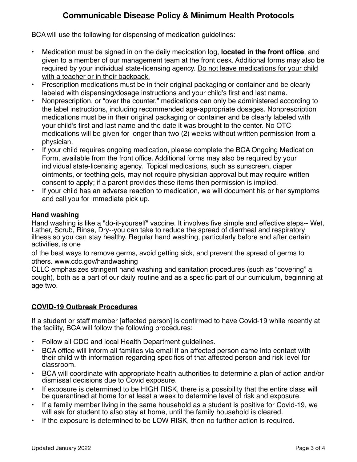BCA will use the following for dispensing of medication guidelines:

- Medication must be signed in on the daily medication log, **located in the front office**, and given to a member of our management team at the front desk. Additional forms may also be required by your individual state-licensing agency. Do not leave medications for your child with a teacher or in their backpack.
- Prescription medications must be in their original packaging or container and be clearly labeled with dispensing/dosage instructions and your child's first and last name.
- Nonprescription, or "over the counter," medications can only be administered according to the label instructions, including recommended age-appropriate dosages. Nonprescription medications must be in their original packaging or container and be clearly labeled with your child's first and last name and the date it was brought to the center. No OTC medications will be given for longer than two (2) weeks without written permission from a physician.
- If your child requires ongoing medication, please complete the BCA Ongoing Medication Form, available from the front office. Additional forms may also be required by your individual state-licensing agency. Topical medications, such as sunscreen, diaper ointments, or teething gels, may not require physician approval but may require written consent to apply; if a parent provides these items then permission is implied.
- If your child has an adverse reaction to medication, we will document his or her symptoms and call you for immediate pick up.

### **Hand washing**

Hand washing is like a "do-it-yourself" vaccine. It involves five simple and effective steps-- Wet, Lather, Scrub, Rinse, Dry--you can take to reduce the spread of diarrheal and respiratory illness so you can stay healthy. Regular hand washing, particularly before and after certain activities, is one

of the best ways to remove germs, avoid getting sick, and prevent the spread of germs to others. www.cdc.gov/handwashing

CLLC emphasizes stringent hand washing and sanitation procedures (such as "covering" a cough), both as a part of our daily routine and as a specific part of our curriculum, beginning at age two.

## **COVID-19 Outbreak Procedures**

If a student or staff member [affected person] is confirmed to have Covid-19 while recently at the facility, BCA will follow the following procedures:

- Follow all CDC and local Health Department guidelines.
- BCA office will inform all families via email if an affected person came into contact with their child with information regarding specifics of that affected person and risk level for classroom.
- BCA will coordinate with appropriate health authorities to determine a plan of action and/or dismissal decisions due to Covid exposure.
- If exposure is determined to be HIGH RISK, there is a possibility that the entire class will be quarantined at home for at least a week to determine level of risk and exposure.
- If a family member living in the same household as a student is positive for Covid-19, we will ask for student to also stay at home, until the family household is cleared.
- If the exposure is determined to be LOW RISK, then no further action is required.